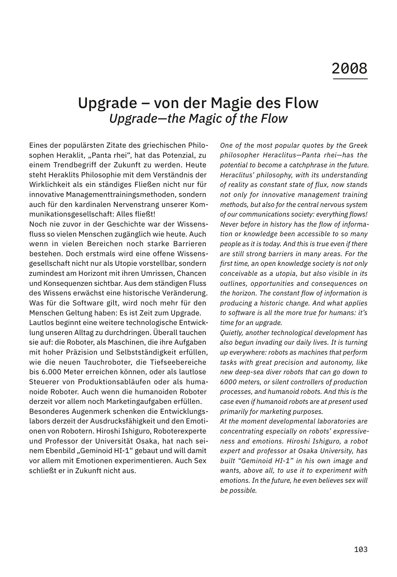## Upgrade – von der Magie des Flow *Upgrade—the Magic of the Flow*

Eines der populärsten Zitate des griechischen Philosophen Heraklit, "Panta rhei", hat das Potenzial, zu einem Trendbegriff der Zukunft zu werden. Heute steht Heraklits Philosophie mit dem Verständnis der Wirklichkeit als ein ständiges Fließen nicht nur für innovative Managementtrainingsmethoden, sondern auch für den kardinalen Nervenstrang unserer Kommunikationsgesellschaft: Alles fließt!

Noch nie zuvor in der Geschichte war der Wissensfluss so vielen Menschen zugänglich wie heute. Auch wenn in vielen Bereichen noch starke Barrieren bestehen. Doch erstmals wird eine offene Wissensgesellschaft nicht nur als Utopie vorstellbar, sondern zumindest am Horizont mit ihren Umrissen, Chancen und Konsequenzen sichtbar. Aus dem ständigen Fluss des Wissens erwächst eine historische Veränderung. Was für die Software gilt, wird noch mehr für den Menschen Geltung haben: Es ist Zeit zum Upgrade.

Lautlos beginnt eine weitere technologische Entwicklung unseren Alltag zu durchdringen. Überall tauchen sie auf: die Roboter, als Maschinen, die ihre Aufgaben mit hoher Präzision und Selbstständigkeit erfüllen, wie die neuen Tauchroboter, die Tiefseebereiche bis 6.000 Meter erreichen können, oder als lautlose Steuerer von Produktionsabläufen oder als humanoide Roboter. Auch wenn die humanoiden Roboter derzeit vor allem noch Marketingaufgaben erfüllen. Besonderes Augenmerk schenken die Entwicklungslabors derzeit der Ausdrucksfähigkeit und den Emotionen von Robotern. Hiroshi Ishiguro, Roboterexperte und Professor der Universität Osaka, hat nach seinem Ebenbild "Geminoid HI-1" gebaut und will damit vor allem mit Emotionen experimentieren. Auch Sex schließt er in Zukunft nicht aus.

*One of the most popular quotes by the Greek philosopher Heraclitus—Panta rhei—has the potential to become a catchphrase in the future. Heraclitus' philosophy, with its understanding of reality as constant state of flux, now stands not only for innovative management training methods, but also for the central nervous system of our communications society: everything flows! Never before in history has the flow of information or knowledge been accessible to so many people as it is today. And this is true even if there are still strong barriers in many areas. For the first time, an open knowledge society is not only conceivable as a utopia, but also visible in its outlines, opportunities and consequences on the horizon. The constant flow of information is producing a historic change. And what applies to software is all the more true for humans: it's time for an upgrade.* 

*Quietly, another technological development has also begun invading our daily lives. It is turning up everywhere: robots as machines that perform tasks with great precision and autonomy, like new deep-sea diver robots that can go down to 6000 meters, or silent controllers of production processes, and humanoid robots. And this is the case even if humanoid robots are at present used primarily for marketing purposes.* 

*At the moment developmental laboratories are concentrating especially on robots' expressiveness and emotions. Hiroshi Ishiguro, a robot expert and professor at Osaka University, has built "Geminoid HI-1" in his own image and wants, above all, to use it to experiment with emotions. In the future, he even believes sex will be possible.*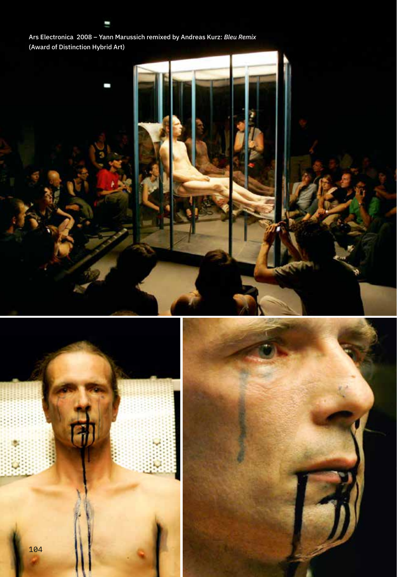Ars Electronica 2008 – Yann Marussich remixed by Andreas Kurz: *Bleu Remix*  (Award of Distinction Hybrid Art)